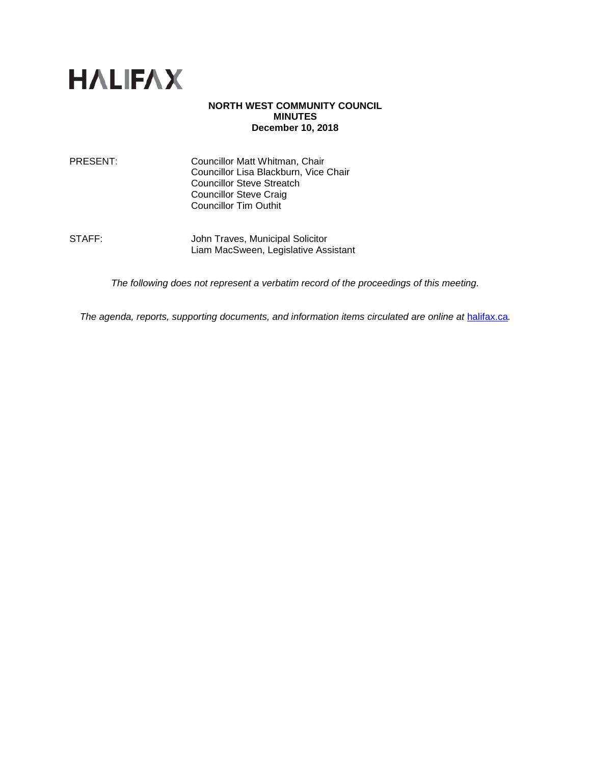

### **NORTH WEST COMMUNITY COUNCIL MINUTES December 10, 2018**

PRESENT: Councillor Matt Whitman, Chair Councillor Lisa Blackburn, Vice Chair Councillor Steve Streatch Councillor Steve Craig Councillor Tim Outhit

STAFF: **John Traves, Municipal Solicitor** Liam MacSween, Legislative Assistant

*The following does not represent a verbatim record of the proceedings of this meeting.*

*The agenda, reports, supporting documents, and information items circulated are online at [halifax.ca](http://www.halifax.ca/).*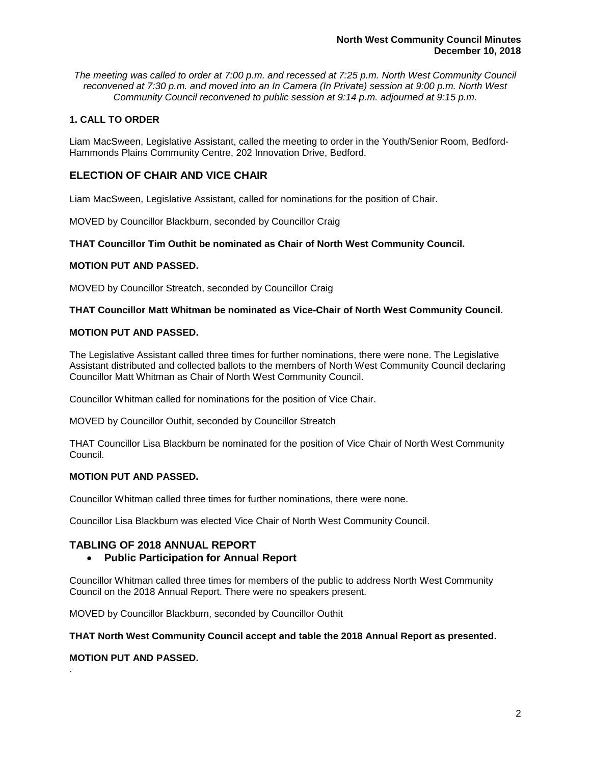*The meeting was called to order at 7:00 p.m. and recessed at 7:25 p.m. North West Community Council reconvened at 7:30 p.m. and moved into an In Camera (In Private) session at 9:00 p.m. North West Community Council reconvened to public session at 9:14 p.m. adjourned at 9:15 p.m.*

# **1. CALL TO ORDER**

Liam MacSween, Legislative Assistant, called the meeting to order in the Youth/Senior Room, Bedford-Hammonds Plains Community Centre, 202 Innovation Drive, Bedford.

# **ELECTION OF CHAIR AND VICE CHAIR**

Liam MacSween, Legislative Assistant, called for nominations for the position of Chair.

MOVED by Councillor Blackburn, seconded by Councillor Craig

# **THAT Councillor Tim Outhit be nominated as Chair of North West Community Council.**

## **MOTION PUT AND PASSED.**

MOVED by Councillor Streatch, seconded by Councillor Craig

## **THAT Councillor Matt Whitman be nominated as Vice-Chair of North West Community Council.**

## **MOTION PUT AND PASSED.**

The Legislative Assistant called three times for further nominations, there were none. The Legislative Assistant distributed and collected ballots to the members of North West Community Council declaring Councillor Matt Whitman as Chair of North West Community Council.

Councillor Whitman called for nominations for the position of Vice Chair.

MOVED by Councillor Outhit, seconded by Councillor Streatch

THAT Councillor Lisa Blackburn be nominated for the position of Vice Chair of North West Community Council.

## **MOTION PUT AND PASSED.**

Councillor Whitman called three times for further nominations, there were none.

Councillor Lisa Blackburn was elected Vice Chair of North West Community Council.

# **TABLING OF 2018 ANNUAL REPORT**

• **Public Participation for Annual Report**

Councillor Whitman called three times for members of the public to address North West Community Council on the 2018 Annual Report. There were no speakers present.

MOVED by Councillor Blackburn, seconded by Councillor Outhit

### **THAT North West Community Council accept and table the 2018 Annual Report as presented.**

# **MOTION PUT AND PASSED.**

.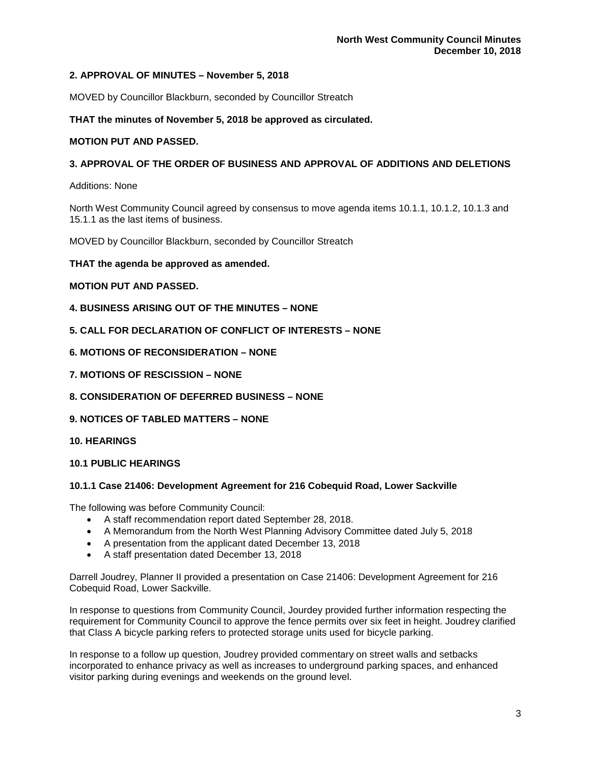## **2. APPROVAL OF MINUTES – November 5, 2018**

MOVED by Councillor Blackburn, seconded by Councillor Streatch

### **THAT the minutes of November 5, 2018 be approved as circulated.**

### **MOTION PUT AND PASSED.**

### **3. APPROVAL OF THE ORDER OF BUSINESS AND APPROVAL OF ADDITIONS AND DELETIONS**

Additions: None

North West Community Council agreed by consensus to move agenda items 10.1.1, 10.1.2, 10.1.3 and 15.1.1 as the last items of business.

MOVED by Councillor Blackburn, seconded by Councillor Streatch

**THAT the agenda be approved as amended.** 

#### **MOTION PUT AND PASSED.**

- **4. BUSINESS ARISING OUT OF THE MINUTES – NONE**
- **5. CALL FOR DECLARATION OF CONFLICT OF INTERESTS – NONE**
- **6. MOTIONS OF RECONSIDERATION – NONE**
- **7. MOTIONS OF RESCISSION – NONE**
- **8. CONSIDERATION OF DEFERRED BUSINESS – NONE**
- **9. NOTICES OF TABLED MATTERS – NONE**
- **10. HEARINGS**
- **10.1 PUBLIC HEARINGS**

#### **10.1.1 Case 21406: Development Agreement for 216 Cobequid Road, Lower Sackville**

The following was before Community Council:

- A staff recommendation report dated September 28, 2018.
- A Memorandum from the North West Planning Advisory Committee dated July 5, 2018
- A presentation from the applicant dated December 13, 2018
- A staff presentation dated December 13, 2018

Darrell Joudrey, Planner II provided a presentation on Case 21406: Development Agreement for 216 Cobequid Road, Lower Sackville.

In response to questions from Community Council, Jourdey provided further information respecting the requirement for Community Council to approve the fence permits over six feet in height. Joudrey clarified that Class A bicycle parking refers to protected storage units used for bicycle parking.

In response to a follow up question, Joudrey provided commentary on street walls and setbacks incorporated to enhance privacy as well as increases to underground parking spaces, and enhanced visitor parking during evenings and weekends on the ground level.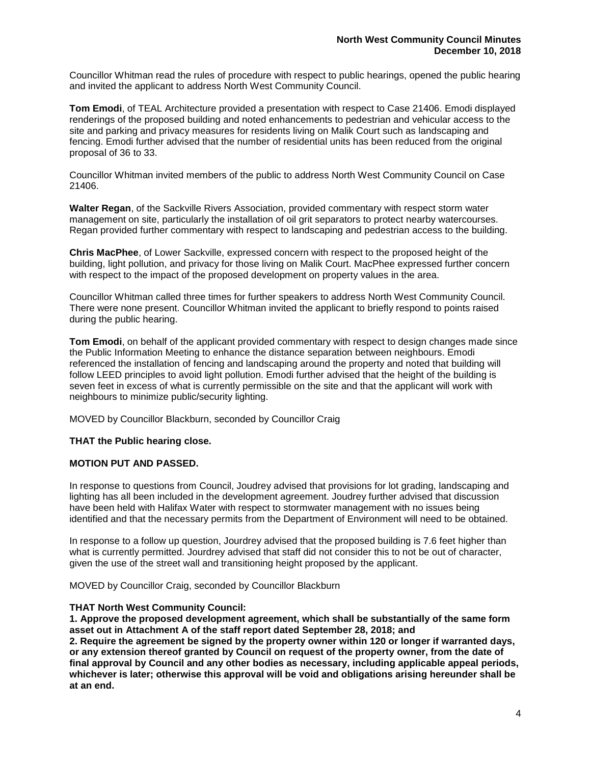Councillor Whitman read the rules of procedure with respect to public hearings, opened the public hearing and invited the applicant to address North West Community Council.

**Tom Emodi**, of TEAL Architecture provided a presentation with respect to Case 21406. Emodi displayed renderings of the proposed building and noted enhancements to pedestrian and vehicular access to the site and parking and privacy measures for residents living on Malik Court such as landscaping and fencing. Emodi further advised that the number of residential units has been reduced from the original proposal of 36 to 33.

Councillor Whitman invited members of the public to address North West Community Council on Case 21406.

**Walter Regan**, of the Sackville Rivers Association, provided commentary with respect storm water management on site, particularly the installation of oil grit separators to protect nearby watercourses. Regan provided further commentary with respect to landscaping and pedestrian access to the building.

**Chris MacPhee**, of Lower Sackville, expressed concern with respect to the proposed height of the building, light pollution, and privacy for those living on Malik Court. MacPhee expressed further concern with respect to the impact of the proposed development on property values in the area.

Councillor Whitman called three times for further speakers to address North West Community Council. There were none present. Councillor Whitman invited the applicant to briefly respond to points raised during the public hearing.

**Tom Emodi**, on behalf of the applicant provided commentary with respect to design changes made since the Public Information Meeting to enhance the distance separation between neighbours. Emodi referenced the installation of fencing and landscaping around the property and noted that building will follow LEED principles to avoid light pollution. Emodi further advised that the height of the building is seven feet in excess of what is currently permissible on the site and that the applicant will work with neighbours to minimize public/security lighting.

MOVED by Councillor Blackburn, seconded by Councillor Craig

# **THAT the Public hearing close.**

### **MOTION PUT AND PASSED.**

In response to questions from Council, Joudrey advised that provisions for lot grading, landscaping and lighting has all been included in the development agreement. Joudrey further advised that discussion have been held with Halifax Water with respect to stormwater management with no issues being identified and that the necessary permits from the Department of Environment will need to be obtained.

In response to a follow up question, Jourdrey advised that the proposed building is 7.6 feet higher than what is currently permitted. Jourdrey advised that staff did not consider this to not be out of character, given the use of the street wall and transitioning height proposed by the applicant.

MOVED by Councillor Craig, seconded by Councillor Blackburn

### **THAT North West Community Council:**

**1. Approve the proposed development agreement, which shall be substantially of the same form asset out in Attachment A of the staff report dated September 28, 2018; and**

**2. Require the agreement be signed by the property owner within 120 or longer if warranted days, or any extension thereof granted by Council on request of the property owner, from the date of final approval by Council and any other bodies as necessary, including applicable appeal periods, whichever is later; otherwise this approval will be void and obligations arising hereunder shall be at an end.**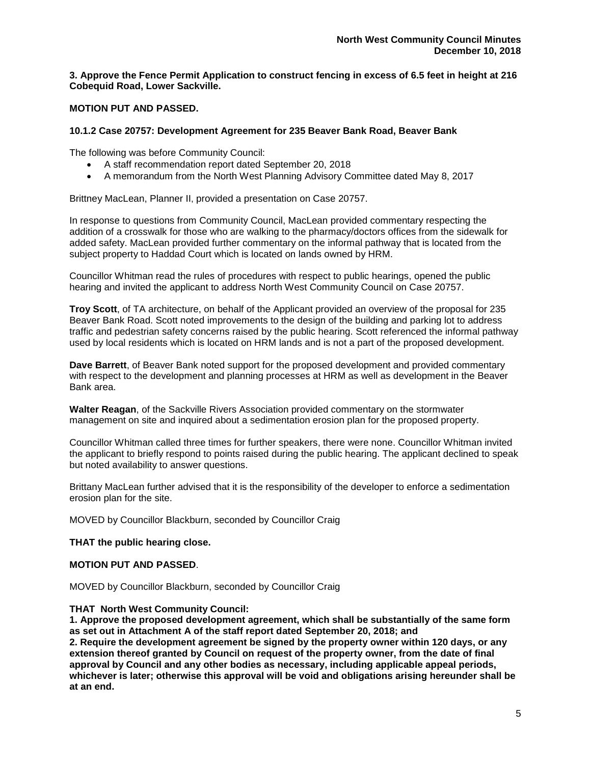# **3. Approve the Fence Permit Application to construct fencing in excess of 6.5 feet in height at 216 Cobequid Road, Lower Sackville.**

# **MOTION PUT AND PASSED.**

### **10.1.2 Case 20757: Development Agreement for 235 Beaver Bank Road, Beaver Bank**

The following was before Community Council:

- A staff recommendation report dated September 20, 2018
- A memorandum from the North West Planning Advisory Committee dated May 8, 2017

Brittney MacLean, Planner II, provided a presentation on Case 20757.

In response to questions from Community Council, MacLean provided commentary respecting the addition of a crosswalk for those who are walking to the pharmacy/doctors offices from the sidewalk for added safety. MacLean provided further commentary on the informal pathway that is located from the subject property to Haddad Court which is located on lands owned by HRM.

Councillor Whitman read the rules of procedures with respect to public hearings, opened the public hearing and invited the applicant to address North West Community Council on Case 20757.

**Troy Scott**, of TA architecture, on behalf of the Applicant provided an overview of the proposal for 235 Beaver Bank Road. Scott noted improvements to the design of the building and parking lot to address traffic and pedestrian safety concerns raised by the public hearing. Scott referenced the informal pathway used by local residents which is located on HRM lands and is not a part of the proposed development.

**Dave Barrett**, of Beaver Bank noted support for the proposed development and provided commentary with respect to the development and planning processes at HRM as well as development in the Beaver Bank area.

**Walter Reagan**, of the Sackville Rivers Association provided commentary on the stormwater management on site and inquired about a sedimentation erosion plan for the proposed property.

Councillor Whitman called three times for further speakers, there were none. Councillor Whitman invited the applicant to briefly respond to points raised during the public hearing. The applicant declined to speak but noted availability to answer questions.

Brittany MacLean further advised that it is the responsibility of the developer to enforce a sedimentation erosion plan for the site.

MOVED by Councillor Blackburn, seconded by Councillor Craig

**THAT the public hearing close.**

## **MOTION PUT AND PASSED**.

MOVED by Councillor Blackburn, seconded by Councillor Craig

### **THAT North West Community Council:**

**1. Approve the proposed development agreement, which shall be substantially of the same form as set out in Attachment A of the staff report dated September 20, 2018; and**

**2. Require the development agreement be signed by the property owner within 120 days, or any extension thereof granted by Council on request of the property owner, from the date of final approval by Council and any other bodies as necessary, including applicable appeal periods, whichever is later; otherwise this approval will be void and obligations arising hereunder shall be at an end.**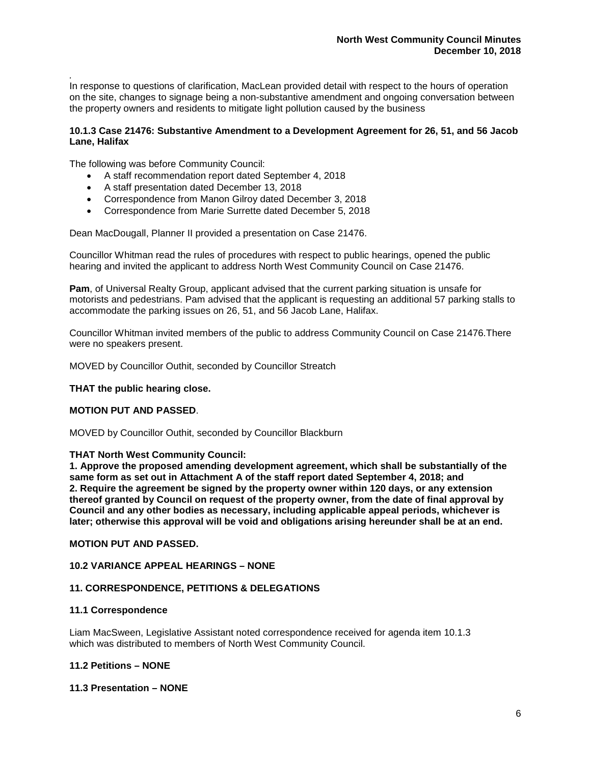*.* In response to questions of clarification, MacLean provided detail with respect to the hours of operation on the site, changes to signage being a non-substantive amendment and ongoing conversation between the property owners and residents to mitigate light pollution caused by the business

## **10.1.3 Case 21476: Substantive Amendment to a Development Agreement for 26, 51, and 56 Jacob Lane, Halifax**

The following was before Community Council:

- A staff recommendation report dated September 4, 2018
- A staff presentation dated December 13, 2018
- Correspondence from Manon Gilroy dated December 3, 2018
- Correspondence from Marie Surrette dated December 5, 2018

Dean MacDougall, Planner II provided a presentation on Case 21476.

Councillor Whitman read the rules of procedures with respect to public hearings, opened the public hearing and invited the applicant to address North West Community Council on Case 21476.

**Pam**, of Universal Realty Group, applicant advised that the current parking situation is unsafe for motorists and pedestrians. Pam advised that the applicant is requesting an additional 57 parking stalls to accommodate the parking issues on 26, 51, and 56 Jacob Lane, Halifax.

Councillor Whitman invited members of the public to address Community Council on Case 21476.There were no speakers present.

MOVED by Councillor Outhit, seconded by Councillor Streatch

### **THAT the public hearing close.**

### **MOTION PUT AND PASSED**.

MOVED by Councillor Outhit, seconded by Councillor Blackburn

### **THAT North West Community Council:**

**1. Approve the proposed amending development agreement, which shall be substantially of the same form as set out in Attachment A of the staff report dated September 4, 2018; and 2. Require the agreement be signed by the property owner within 120 days, or any extension thereof granted by Council on request of the property owner, from the date of final approval by Council and any other bodies as necessary, including applicable appeal periods, whichever is later; otherwise this approval will be void and obligations arising hereunder shall be at an end.**

### **MOTION PUT AND PASSED.**

### **10.2 VARIANCE APPEAL HEARINGS – NONE**

### **11. CORRESPONDENCE, PETITIONS & DELEGATIONS**

### **11.1 Correspondence**

Liam MacSween, Legislative Assistant noted correspondence received for agenda item 10.1.3 which was distributed to members of North West Community Council.

### **11.2 Petitions – NONE**

### **11.3 Presentation – NONE**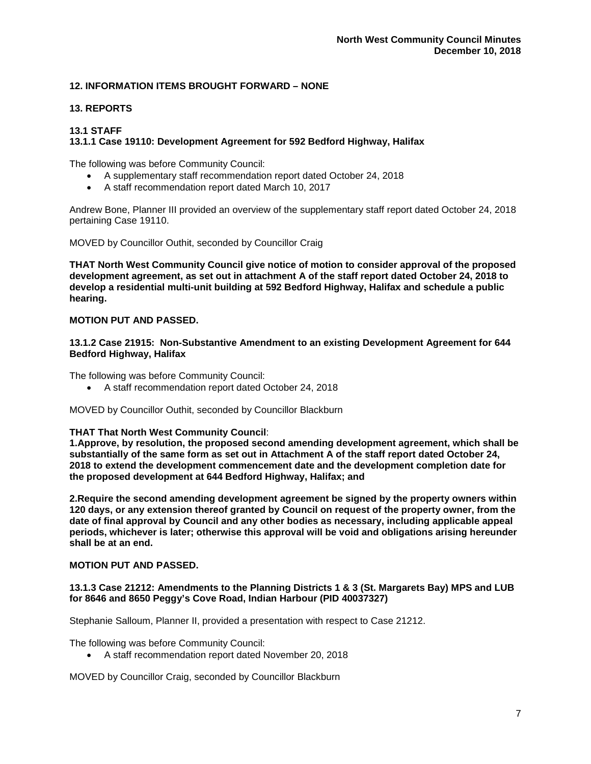## **12. INFORMATION ITEMS BROUGHT FORWARD – NONE**

## **13. REPORTS**

## **13.1 STAFF**

### **13.1.1 Case 19110: Development Agreement for 592 Bedford Highway, Halifax**

The following was before Community Council:

- A supplementary staff recommendation report dated October 24, 2018
- A staff recommendation report dated March 10, 2017

Andrew Bone, Planner III provided an overview of the supplementary staff report dated October 24, 2018 pertaining Case 19110.

MOVED by Councillor Outhit, seconded by Councillor Craig

**THAT North West Community Council give notice of motion to consider approval of the proposed development agreement, as set out in attachment A of the staff report dated October 24, 2018 to develop a residential multi-unit building at 592 Bedford Highway, Halifax and schedule a public hearing.**

## **MOTION PUT AND PASSED.**

**13.1.2 Case 21915: Non-Substantive Amendment to an existing Development Agreement for 644 Bedford Highway, Halifax**

The following was before Community Council:

• A staff recommendation report dated October 24, 2018

MOVED by Councillor Outhit, seconded by Councillor Blackburn

### **THAT That North West Community Council**:

**1.Approve, by resolution, the proposed second amending development agreement, which shall be substantially of the same form as set out in Attachment A of the staff report dated October 24, 2018 to extend the development commencement date and the development completion date for the proposed development at 644 Bedford Highway, Halifax; and**

**2.Require the second amending development agreement be signed by the property owners within 120 days, or any extension thereof granted by Council on request of the property owner, from the date of final approval by Council and any other bodies as necessary, including applicable appeal periods, whichever is later; otherwise this approval will be void and obligations arising hereunder shall be at an end.**

### **MOTION PUT AND PASSED.**

### **13.1.3 Case 21212: Amendments to the Planning Districts 1 & 3 (St. Margarets Bay) MPS and LUB for 8646 and 8650 Peggy's Cove Road, Indian Harbour (PID 40037327)**

Stephanie Salloum, Planner II, provided a presentation with respect to Case 21212.

The following was before Community Council:

• A staff recommendation report dated November 20, 2018

MOVED by Councillor Craig, seconded by Councillor Blackburn